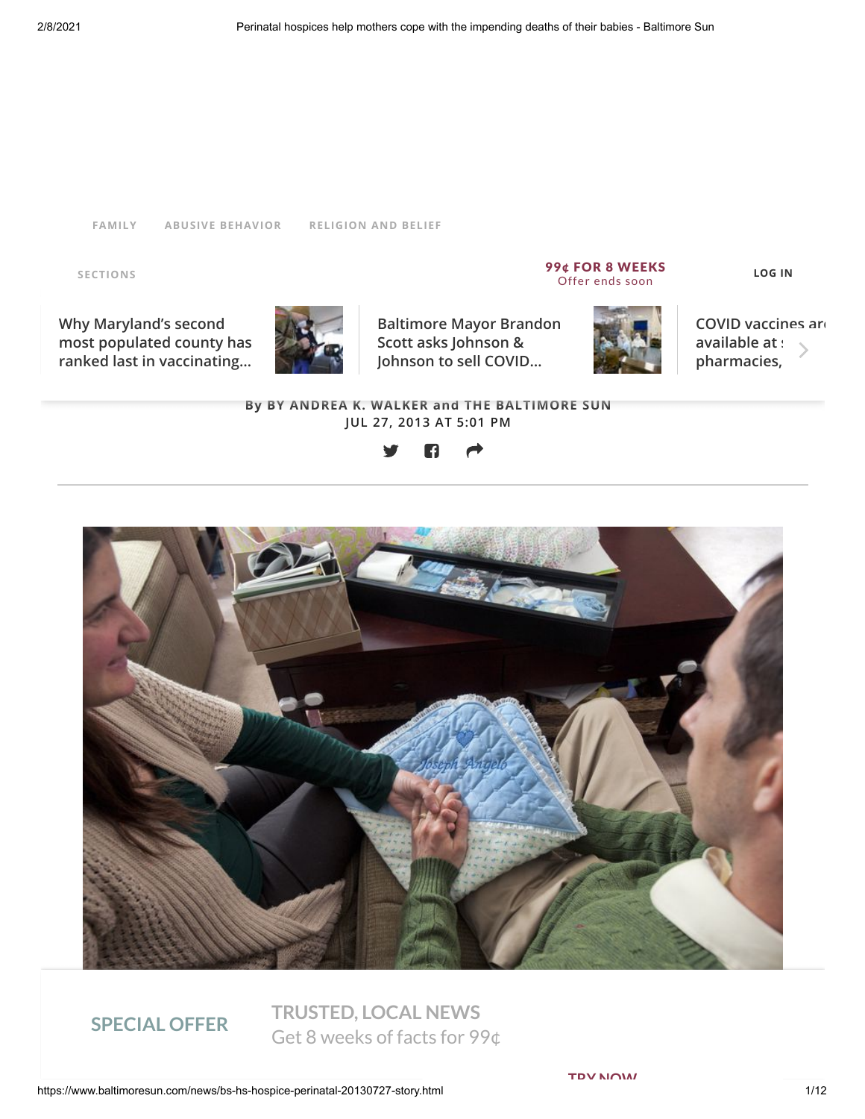#### **[FAMILY](https://www.baltimoresun.com/topic/family-14006000-topic.html#nt=taxonomy-article) ABUSIVE [BEHAVIOR](https://www.baltimoresun.com/topic/abusive-behavior-14022000-topic.html#nt=taxonomy-article) [RELIGION](https://www.baltimoresun.com/topic/religion-and-belief-12000000-topic.html#nt=taxonomy-article) AND BELIEF**

**SECTIONS**

Why Maryland's second<br>most populated county has **the imperial of the second second Scott asks Johnson & the imperial of the imperial of the imperial of the imperial of the imperial of the imperial of the imperial of the im Why Maryland's second ranked last in vaccinating…**



**Baltimore Mayor Brandon Scott asks Johnson & Johnson to sell COVID…**

 $P = PQ$  is the compact of the coperation of the coperations of the coperation of the coperation of the coperation of the coperation of the coperation of the coperation of the coperation of the coperation of the coperation 99¢ FOR 8 WEEKS Offer ends soon



**[COVID vaccines are](https://www.baltimoresun.com/coronavirus/bs-md-grocery-pharmacy-vaccine-20210203-4ombkc6m6jdo5jbxus7mzi6ogq-story.html#nt=tertiarynavbar&nt=ticker) available at :** pharmacies,

#### **By BY ANDREA K. WALKER and THE BALTIMORE SUN JUL 27, 2013 AT 5:01 PM**





John and Jenny Mohler hold hands on an embroidered blanket bearing the name of their son Tuesday, Mar. 26, 2013. **TRUSTED, LOCAL NEWS** They were the parents of Joseph Angelo, born Dec. 13, 2012 and lived for an hour. **SPECIAL OFFER** (Karl Merton Ferron / Baltimore Sun) Get 8 weeks of facts for 99¢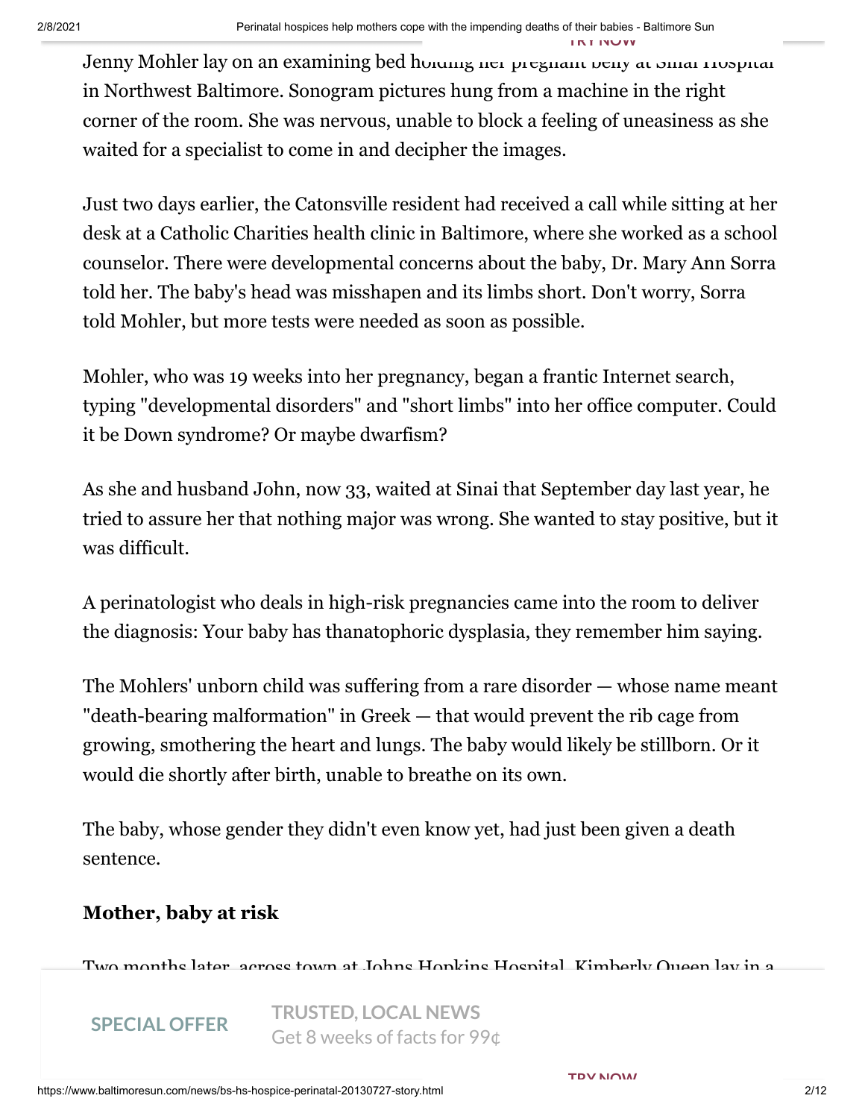**TRY NOW**

Jenny Mohler lay on an examining bed holding her pregnant belly at Sinai Hospital in Northwest Baltimore. Sonogram pictures hung from a machine in the right corner of the room. She was nervous, unable to block a feeling of uneasiness as she waited for a specialist to come in and decipher the images.

Just two days earlier, the Catonsville resident had received a call while sitting at her desk at a Catholic Charities health clinic in Baltimore, where she worked as a school counselor. There were developmental concerns about the baby, Dr. Mary Ann Sorra told her. The baby's head was misshapen and its limbs short. Don't worry, Sorra told Mohler, but more tests were needed as soon as possible.

Mohler, who was 19 weeks into her pregnancy, began a frantic Internet search, typing "developmental disorders" and "short limbs" into her office computer. Could it be Down syndrome? Or maybe dwarfism?

As she and husband John, now 33, waited at Sinai that September day last year, he tried to assure her that nothing major was wrong. She wanted to stay positive, but it was difficult.

A perinatologist who deals in high-risk pregnancies came into the room to deliver the diagnosis: Your baby has thanatophoric dysplasia, they remember him saying.

The Mohlers' unborn child was suffering from a rare disorder — whose name meant "death-bearing malformation" in Greek — that would prevent the rib cage from growing, smothering the heart and lungs. The baby would likely be stillborn. Or it would die shortly after birth, unable to breathe on its own.

The baby, whose gender they didn't even know yet, had just been given a death sentence.

## **Mother, baby at risk**

Two months later, across town at Johns Hopkins Hospital, Kimberly Queen lay in a

 $\mathbf{a} = \mathbf{b} \cdot \mathbf{b}$  , and fighting and fighting been all around her,  $\mathbf{b} = \mathbf{b} \cdot \mathbf{b}$ **SPECIAL OFFER** THOSTED; EUCHETTENS. **TRUSTED, LOCAL NEWS** Get 8 weeks of facts for 99¢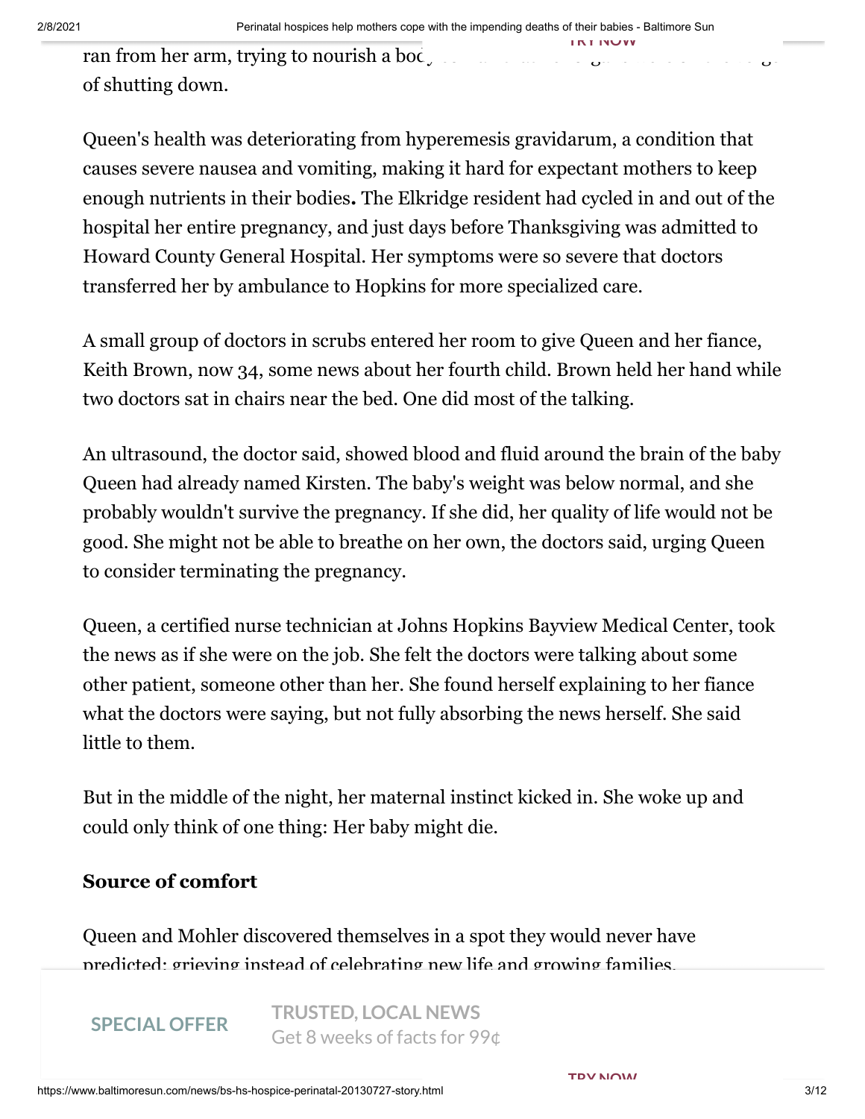**TRY NOW**

ran from her arm, trying to nourish a body so fracture. of shutting down.

Queen's health was deteriorating from hyperemesis gravidarum, a condition that causes severe nausea and vomiting, making it hard for expectant mothers to keep enough nutrients in their bodies**.** The Elkridge resident had cycled in and out of the hospital her entire pregnancy, and just days before Thanksgiving was admitted to Howard County General Hospital. Her symptoms were so severe that doctors transferred her by ambulance to Hopkins for more specialized care.

A small group of doctors in scrubs entered her room to give Queen and her fiance, Keith Brown, now 34, some news about her fourth child. Brown held her hand while two doctors sat in chairs near the bed. One did most of the talking.

An ultrasound, the doctor said, showed blood and fluid around the brain of the baby Queen had already named Kirsten. The baby's weight was below normal, and she probably wouldn't survive the pregnancy. If she did, her quality of life would not be good. She might not be able to breathe on her own, the doctors said, urging Queen to consider terminating the pregnancy.

Queen, a certified nurse technician at Johns Hopkins Bayview Medical Center, took the news as if she were on the job. She felt the doctors were talking about some other patient, someone other than her. She found herself explaining to her fiance what the doctors were saying, but not fully absorbing the news herself. She said little to them.

But in the middle of the night, her maternal instinct kicked in. She woke up and could only think of one thing: Her baby might die.

# **Source of comfort**

Queen and Mohler discovered themselves in a spot they would never have predicted: grieving instead of celebrating new life and growing families.

SPECIAL OFFER **TRUSTED, LOCAL NEWS** Get 8 weeks of facts for 99¢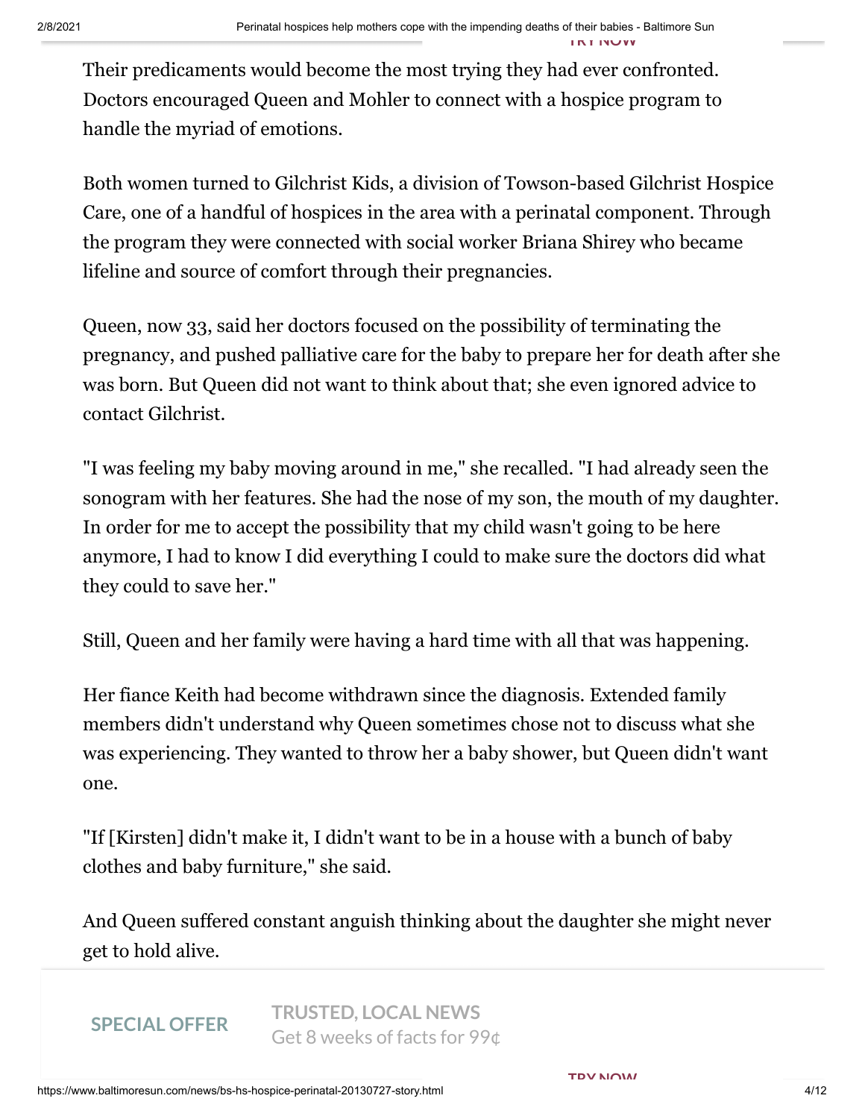Their predicaments would become the most trying they had ever confronted. Doctors encouraged Queen and Mohler to connect with a hospice program to handle the myriad of emotions.

Both women turned to Gilchrist Kids, a division of Towson-based Gilchrist Hospice Care, one of a handful of hospices in the area with a perinatal component. Through the program they were connected with social worker Briana Shirey who became lifeline and source of comfort through their pregnancies.

Queen, now 33, said her doctors focused on the possibility of terminating the pregnancy, and pushed palliative care for the baby to prepare her for death after she was born. But Queen did not want to think about that; she even ignored advice to contact Gilchrist.

"I was feeling my baby moving around in me," she recalled. "I had already seen the sonogram with her features. She had the nose of my son, the mouth of my daughter. In order for me to accept the possibility that my child wasn't going to be here anymore, I had to know I did everything I could to make sure the doctors did what they could to save her."

Still, Queen and her family were having a hard time with all that was happening.

Her fiance Keith had become withdrawn since the diagnosis. Extended family members didn't understand why Queen sometimes chose not to discuss what she was experiencing. They wanted to throw her a baby shower, but Queen didn't want one.

"If [Kirsten] didn't make it, I didn't want to be in a house with a bunch of baby clothes and baby furniture," she said.

And Queen suffered constant anguish thinking about the daughter she might never get to hold alive.

#### **SPECIAL OFFER**

One afternoon, she was sitting in her apartment television when the phone rang. **TRUSTED, LOCAL NEWS** SPECIAL UPPER Get 8 weeks of facts for 99¢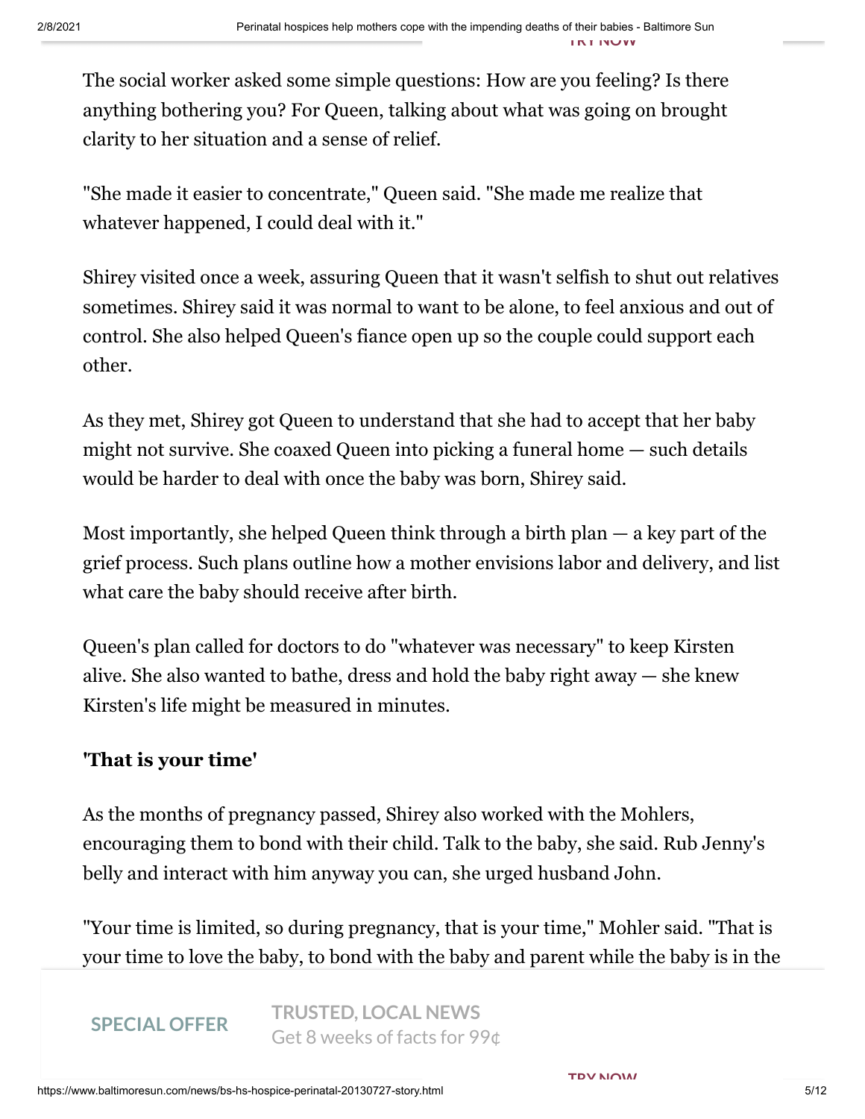The social worker asked some simple questions: How are you feeling? Is there anything bothering you? For Queen, talking about what was going on brought clarity to her situation and a sense of relief.

"She made it easier to concentrate," Queen said. "She made me realize that whatever happened, I could deal with it."

Shirey visited once a week, assuring Queen that it wasn't selfish to shut out relatives sometimes. Shirey said it was normal to want to be alone, to feel anxious and out of control. She also helped Queen's fiance open up so the couple could support each other.

As they met, Shirey got Queen to understand that she had to accept that her baby might not survive. She coaxed Queen into picking a funeral home — such details would be harder to deal with once the baby was born, Shirey said.

Most importantly, she helped Queen think through a birth plan — a key part of the grief process. Such plans outline how a mother envisions labor and delivery, and list what care the baby should receive after birth.

Queen's plan called for doctors to do "whatever was necessary" to keep Kirsten alive. She also wanted to bathe, dress and hold the baby right away — she knew Kirsten's life might be measured in minutes.

## **'That is your time'**

As the months of pregnancy passed, Shirey also worked with the Mohlers, encouraging them to bond with their child. Talk to the baby, she said. Rub Jenny's belly and interact with him anyway you can, she urged husband John.

"Your time is limited, so during pregnancy, that is your time," Mohler said. "That is your time to love the baby, to bond with the baby and parent while the baby is in the

#### **SPECIAL OFFER**

**TRUSTED, LOCAL NEWS** Get 8 weeks of facts for 99¢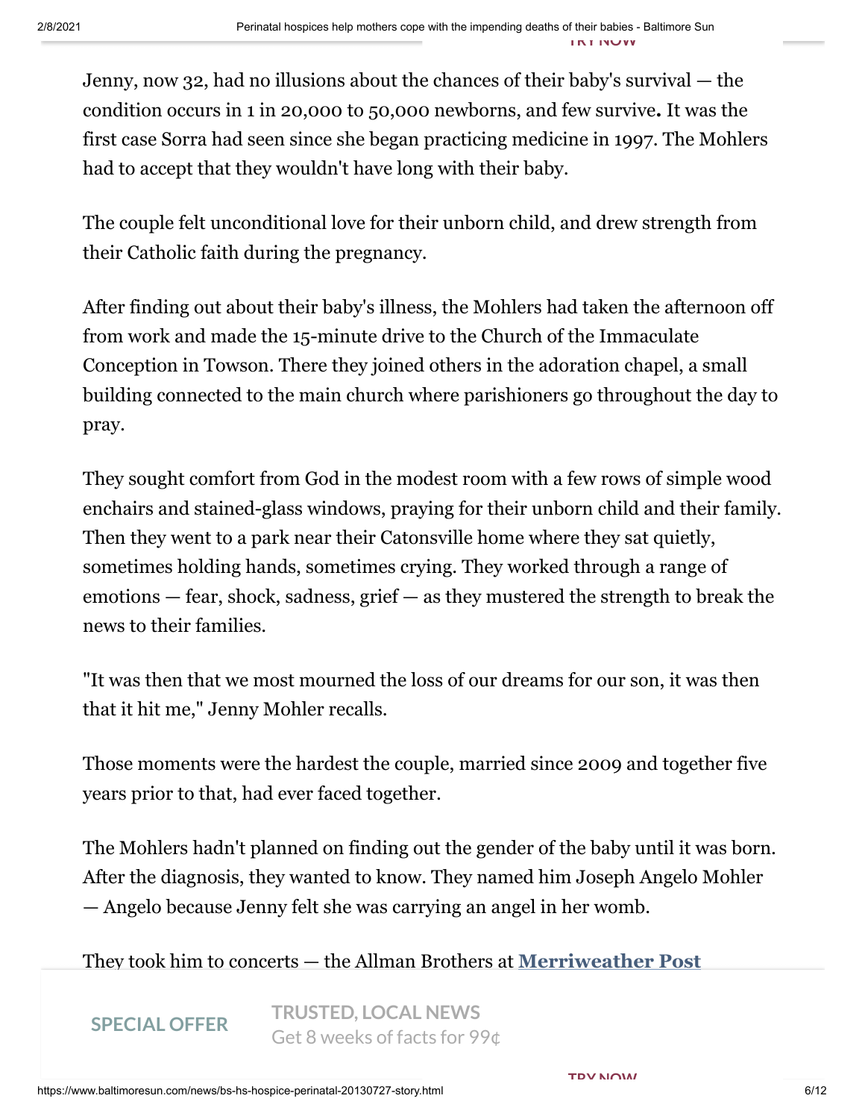Jenny, now 32, had no illusions about the chances of their baby's survival — the condition occurs in 1 in 20,000 to 50,000 newborns, and few survive**.** It was the first case Sorra had seen since she began practicing medicine in 1997. The Mohlers had to accept that they wouldn't have long with their baby.

The couple felt unconditional love for their unborn child, and drew strength from their Catholic faith during the pregnancy.

After finding out about their baby's illness, the Mohlers had taken the afternoon off from work and made the 15-minute drive to the Church of the Immaculate Conception in Towson. There they joined others in the adoration chapel, a small building connected to the main church where parishioners go throughout the day to pray.

They sought comfort from God in the modest room with a few rows of simple wood enchairs and stained-glass windows, praying for their unborn child and their family. Then they went to a park near their Catonsville home where they sat quietly, sometimes holding hands, sometimes crying. They worked through a range of emotions — fear, shock, sadness, grief — as they mustered the strength to break the news to their families.

"It was then that we most mourned the loss of our dreams for our son, it was then that it hit me," Jenny Mohler recalls.

Those moments were the hardest the couple, married since 2009 and together five years prior to that, had ever faced together.

The Mohlers hadn't planned on finding out the gender of the baby until it was born. After the diagnosis, they wanted to know. They named him Joseph Angelo Mohler — Angelo because Jenny felt she was carrying an angel in her womb.

They took him to concerts — the Allman Brothers at **Merriweather Post**

frequently sang to him, mostly "Silent Night" and other Christmas songs. Their **SPECIAL OFFER**  $\bigcup$ CLO WCCKS OF TACLS TO  $\bigcup$   $\bigcap$ **TRUSTED, LOCAL NEWS** Get 8 weeks of facts for 99¢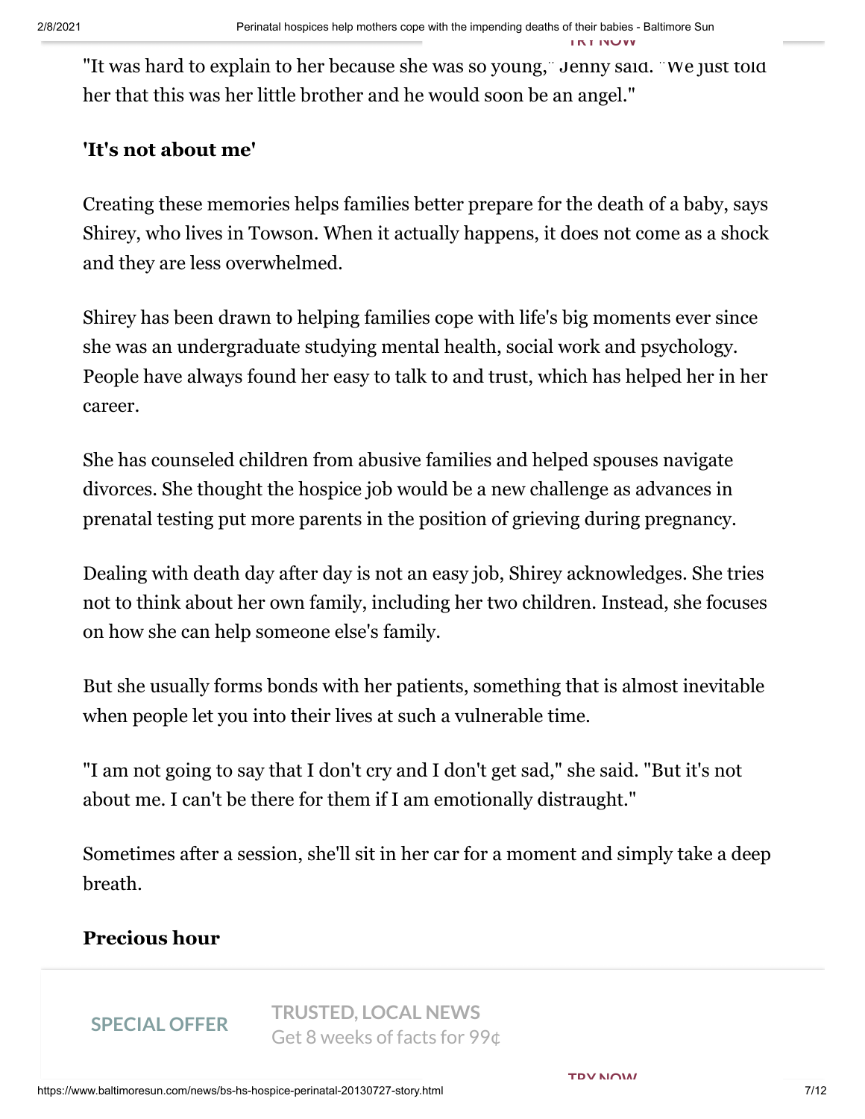**TRY NOW**

"It was hard to explain to her because she was so young," Jenny said. "We just told her that this was her little brother and he would soon be an angel."

# **'It's not about me'**

Creating these memories helps families better prepare for the death of a baby, says Shirey, who lives in Towson. When it actually happens, it does not come as a shock and they are less overwhelmed.

Shirey has been drawn to helping families cope with life's big moments ever since she was an undergraduate studying mental health, social work and psychology. People have always found her easy to talk to and trust, which has helped her in her career.

She has counseled children from abusive families and helped spouses navigate divorces. She thought the hospice job would be a new challenge as advances in prenatal testing put more parents in the position of grieving during pregnancy.

Dealing with death day after day is not an easy job, Shirey acknowledges. She tries not to think about her own family, including her two children. Instead, she focuses on how she can help someone else's family.

But she usually forms bonds with her patients, something that is almost inevitable when people let you into their lives at such a vulnerable time.

"I am not going to say that I don't cry and I don't get sad," she said. "But it's not about me. I can't be there for them if I am emotionally distraught."

Sometimes after a session, she'll sit in her car for a moment and simply take a deep breath.

# **Precious hour**

doctors needed to perform an emergency cesarean soon. Sorra started to worry the **SPECIAL OFFER TRUSTED, LOCAL NEWS** Get 8 weeks of facts for 99¢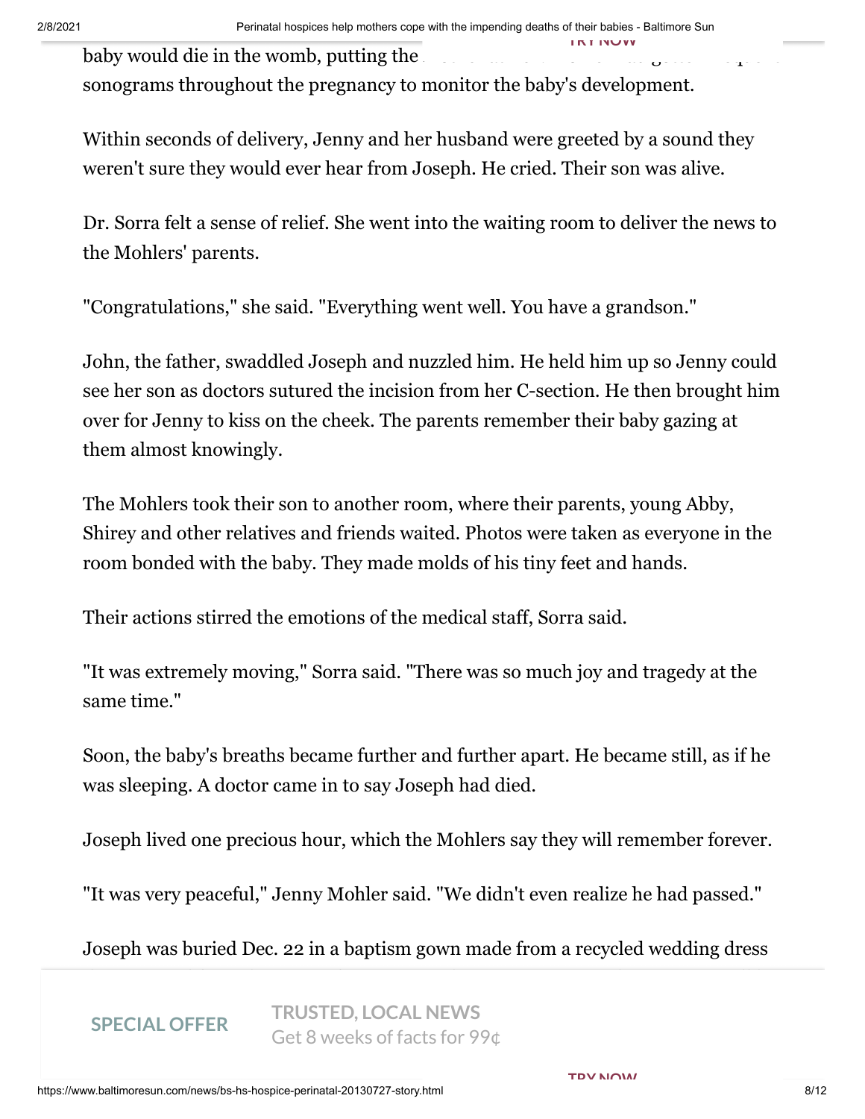baby would die in the womb, putting the sonograms throughout the pregnancy to monitor the baby's development. **TRY NOW**

Within seconds of delivery, Jenny and her husband were greeted by a sound they weren't sure they would ever hear from Joseph. He cried. Their son was alive.

Dr. Sorra felt a sense of relief. She went into the waiting room to deliver the news to the Mohlers' parents.

"Congratulations," she said. "Everything went well. You have a grandson."

John, the father, swaddled Joseph and nuzzled him. He held him up so Jenny could see her son as doctors sutured the incision from her C-section. He then brought him over for Jenny to kiss on the cheek. The parents remember their baby gazing at them almost knowingly.

The Mohlers took their son to another room, where their parents, young Abby, Shirey and other relatives and friends waited. Photos were taken as everyone in the room bonded with the baby. They made molds of his tiny feet and hands.

Their actions stirred the emotions of the medical staff, Sorra said.

"It was extremely moving," Sorra said. "There was so much joy and tragedy at the same time."

Soon, the baby's breaths became further and further apart. He became still, as if he was sleeping. A doctor came in to say Joseph had died.

Joseph lived one precious hour, which the Mohlers say they will remember forever.

"It was very peaceful," Jenny Mohler said. "We didn't even realize he had passed."

Joseph was buried Dec. 22 in a baptism gown made from a recycled wedding dress

SI LUITE O **SPECIAL OFFER**

father was able to carry it in his arms down the aisle of St. Mark Church in **TRUSTED, LOCAL NEWS** Get 8 weeks of facts for 99¢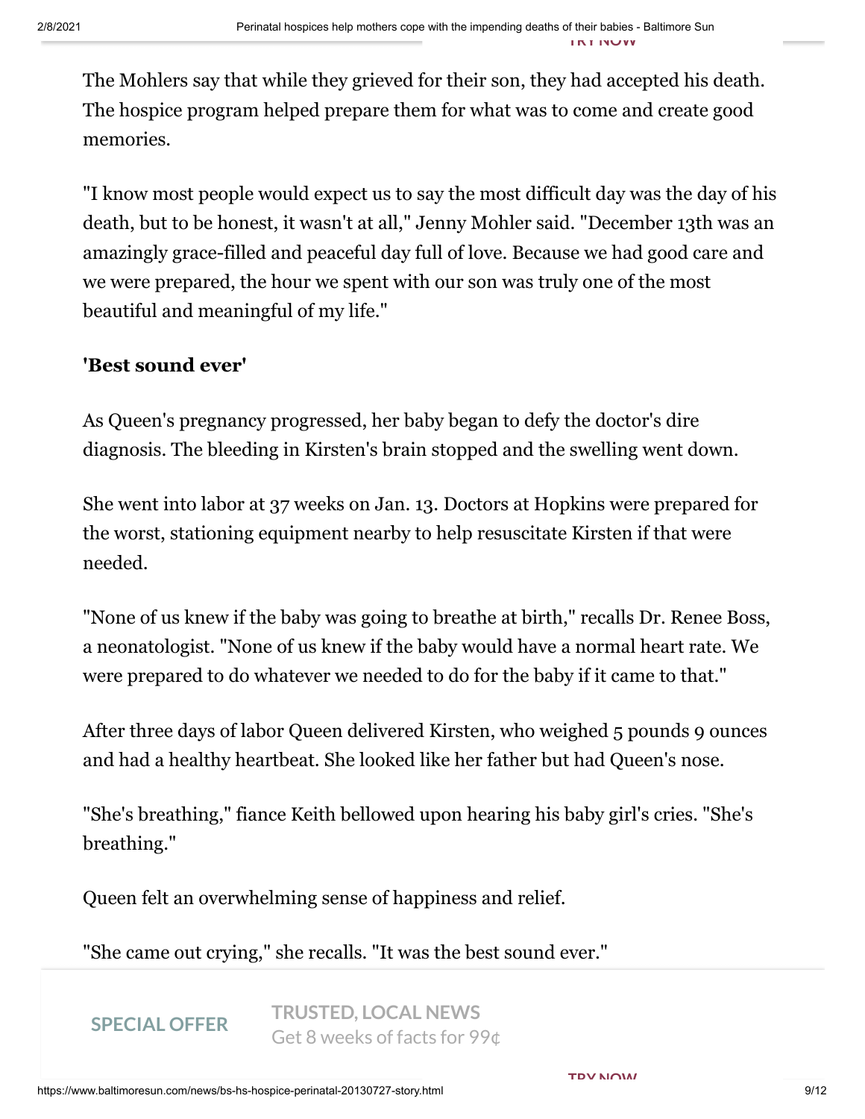The Mohlers say that while they grieved for their son, they had accepted his death. The hospice program helped prepare them for what was to come and create good memories.

"I know most people would expect us to say the most difficult day was the day of his death, but to be honest, it wasn't at all," Jenny Mohler said. "December 13th was an amazingly grace-filled and peaceful day full of love. Because we had good care and we were prepared, the hour we spent with our son was truly one of the most beautiful and meaningful of my life."

## **'Best sound ever'**

As Queen's pregnancy progressed, her baby began to defy the doctor's dire diagnosis. The bleeding in Kirsten's brain stopped and the swelling went down.

She went into labor at 37 weeks on Jan. 13. Doctors at Hopkins were prepared for the worst, stationing equipment nearby to help resuscitate Kirsten if that were needed.

"None of us knew if the baby was going to breathe at birth," recalls Dr. Renee Boss, a neonatologist. "None of us knew if the baby would have a normal heart rate. We were prepared to do whatever we needed to do for the baby if it came to that."

After three days of labor Queen delivered Kirsten, who weighed 5 pounds 9 ounces and had a healthy heartbeat. She looked like her father but had Queen's nose.

"She's breathing," fiance Keith bellowed upon hearing his baby girl's cries. "She's breathing."

Queen felt an overwhelming sense of happiness and relief.

"She came out crying," she recalls. "It was the best sound ever."

**SPECIAL OFFER**

EVEN AFFER TRUSTED, LOCAL NEWS  $\frac{1}{2}$  Get 8 weeks of facts for 99 $\phi$